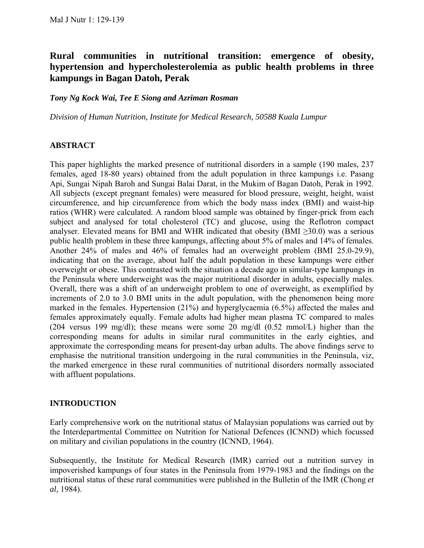# **Rural communities in nutritional transition: emergence of obesity, hypertension and hypercholesterolemia as public health problems in three kampungs in Bagan Datoh, Perak**

*Tony Ng Kock Wai, Tee E Siong and Azriman Rosman* 

*Division of Human Nutrition, Institute for Medical Research, 50588 Kuala Lumpur* 

### **ABSTRACT**

This paper highlights the marked presence of nutritional disorders in a sample (190 males, 237 females, aged 18-80 years) obtained from the adult population in three kampungs i.e. Pasang Api, Sungai Nipah Baroh and Sungai Balai Darat, in the Mukim of Bagan Datoh, Perak in 1992. All subjects (except pregnant females) were measured for blood pressure, weight, height, waist circumference, and hip circumference from which the body mass index (BMI) and waist-hip ratios (WHR) were calculated. A random blood sample was obtained by finger-prick from each subject and analysed for total cholesterol (TC) and glucose, using the Reflotron compact analyser. Elevated means for BMI and WHR indicated that obesity (BMI  $\geq$ 30.0) was a serious public health problem in these three kampungs, affecting about 5% of males and 14% of females. Another 24% of males and 46% of females had an overweight problem (BMI 25.0-29.9), indicating that on the average, about half the adult population in these kampungs were either overweight or obese. This contrasted with the situation a decade ago in similar-type kampungs in the Peninsula where underweight was the major nutritional disorder in adults, especially males. Overall, there was a shift of an underweight problem to one of overweight, as exemplified by increments of 2.0 to 3.0 BMI units in the adult population, with the phenomenon being more marked in the females. Hypertension (21%) and hyperglycaemia (6.5%) affected the males and females approximately equally. Female adults had higher mean plasma TC compared to males (204 versus 199 mg/dl); these means were some 20 mg/dl (0.52 mmol/L) higher than the corresponding means for adults in similar rural communitites in the early eighties, and approximate the corresponding means for present-day urban adults. The above findings serve to emphasise the nutritional transition undergoing in the rural communities in the Peninsula, viz, the marked emergence in these rural communities of nutritional disorders normally associated with affluent populations.

# **INTRODUCTION**

Early comprehensive work on the nutritional status of Malaysian populations was carried out by the Interdepartmental Committee on Nutrition for National Defences (ICNND) which focussed on military and civilian populations in the country (ICNND, 1964).

Subsequently, the Institute for Medical Research (IMR) carried out a nutrition survey in impoverished kampungs of four states in the Peninsula from 1979-1983 and the findings on the nutritional status of these rural communities were published in the Bulletin of the IMR (Chong *et al,* 1984).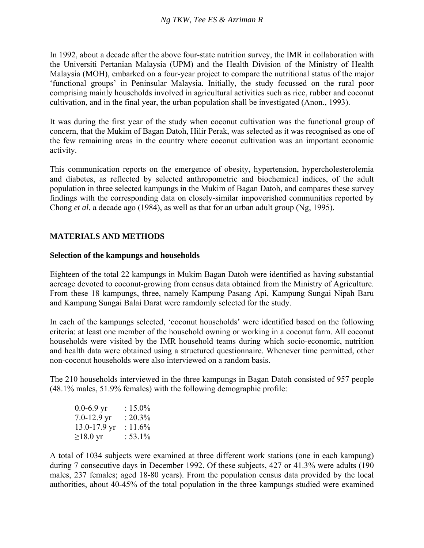In 1992, about a decade after the above four-state nutrition survey, the IMR in collaboration with the Universiti Pertanian Malaysia (UPM) and the Health Division of the Ministry of Health Malaysia (MOH), embarked on a four-year project to compare the nutritional status of the major 'functional groups' in Peninsular Malaysia. Initially, the study focussed on the rural poor comprising mainly households involved in agricultural activities such as rice, rubber and coconut cultivation, and in the final year, the urban population shall be investigated (Anon., 1993).

It was during the first year of the study when coconut cultivation was the functional group of concern, that the Mukim of Bagan Datoh, Hilir Perak, was selected as it was recognised as one of the few remaining areas in the country where coconut cultivation was an important economic activity.

This communication reports on the emergence of obesity, hypertension, hypercholesterolemia and diabetes, as reflected by selected anthropometric and biochemical indices, of the adult population in three selected kampungs in the Mukim of Bagan Datoh, and compares these survey findings with the corresponding data on closely-similar impoverished communities reported by Chong *et al.* a decade ago (1984), as well as that for an urban adult group (Ng, 1995).

# **MATERIALS AND METHODS**

# **Selection of the kampungs and households**

Eighteen of the total 22 kampungs in Mukim Bagan Datoh were identified as having substantial acreage devoted to coconut-growing from census data obtained from the Ministry of Agriculture. From these 18 kampungs, three, namely Kampung Pasang Api, Kampung Sungai Nipah Baru and Kampung Sungai Balai Darat were ramdomly selected for the study.

In each of the kampungs selected, 'coconut households' were identified based on the following criteria: at least one member of the household owning or working in a coconut farm. All coconut households were visited by the IMR household teams during which socio-economic, nutrition and health data were obtained using a structured questionnaire. Whenever time permitted, other non-coconut households were also interviewed on a random basis.

The 210 households interviewed in the three kampungs in Bagan Datoh consisted of 957 people (48.1% males, 51.9% females) with the following demographic profile:

| $0.0 - 6.9$ yr   | : 15.0%    |
|------------------|------------|
| $7.0 - 12.9$ yr  | $: 20.3\%$ |
| $13.0 - 17.9$ yr | $: 11.6\%$ |
| $\geq$ 18.0 yr   | $: 53.1\%$ |

A total of 1034 subjects were examined at three different work stations (one in each kampung) during 7 consecutive days in December 1992. Of these subjects, 427 or 41.3% were adults (190) males, 237 females; aged 18-80 years). From the population census data provided by the local authorities, about 40-45% of the total population in the three kampungs studied were examined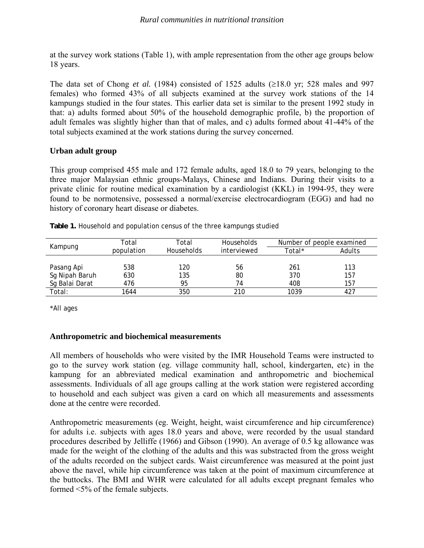at the survey work stations (Table 1), with ample representation from the other age groups below 18 years.

The data set of Chong *et al.* (1984) consisted of 1525 adults ( $\geq$ 18.0 yr; 528 males and 997 females) who formed 43% of all subjects examined at the survey work stations of the 14 kampungs studied in the four states. This earlier data set is similar to the present 1992 study in that: a) adults formed about 50% of the household demographic profile, b) the proportion of adult females was slightly higher than that of males, and c) adults formed about 41-44% of the total subjects examined at the work stations during the survey concerned.

# **Urban adult group**

This group comprised 455 male and 172 female adults, aged 18.0 to 79 years, belonging to the three major Malaysian ethnic groups-Malays, Chinese and Indians. During their visits to a private clinic for routine medical examination by a cardiologist (KKL) in 1994-95, they were found to be normotensive, possessed a normal/exercise electrocardiogram (EGG) and had no history of coronary heart disease or diabetes.

| Kampung        | Total      | Total      | Households | Number of people examined |        |  |
|----------------|------------|------------|------------|---------------------------|--------|--|
|                | population | Households |            | Total*                    | Adults |  |
|                |            |            |            |                           |        |  |
| Pasang Api     | 538        | 120        | 56         | 261                       | 113    |  |
| Sg Nipah Baruh | 630        | 135        | 80         | 370                       | 157    |  |
| Sg Balai Darat | 476        | 95         | 74         | 408                       | 157    |  |
| Total:         | 1644       | 350        | 210        | 1039                      | 427    |  |

**Table 1.** Household and population census of the three kampungs studied

\*All ages

### **Anthropometric and biochemical measurements**

All members of households who were visited by the IMR Household Teams were instructed to go to the survey work station (eg. village community hall, school, kindergarten, etc) in the kampung for an abbreviated medical examination and anthropometric and biochemical assessments. Individuals of all age groups calling at the work station were registered according to household and each subject was given a card on which all measurements and assessments done at the centre were recorded.

Anthropometric measurements (eg. Weight, height, waist circumference and hip circumference) for adults i.e. subjects with ages 18.0 years and above, were recorded by the usual standard procedures described by Jelliffe (1966) and Gibson (1990). An average of 0.5 kg allowance was made for the weight of the clothing of the adults and this was substracted from the gross weight of the adults recorded on the subject cards. Waist circumference was measured at the point just above the navel, while hip circumference was taken at the point of maximum circumference at the buttocks. The BMI and WHR were calculated for all adults except pregnant females who formed <5% of the female subjects.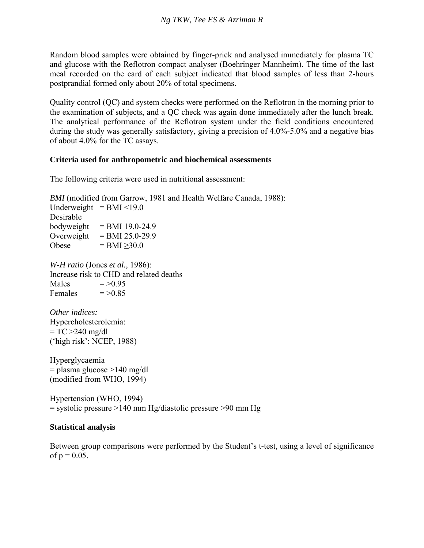Random blood samples were obtained by finger-prick and analysed immediately for plasma TC and glucose with the Reflotron compact analyser (Boehringer Mannheim). The time of the last meal recorded on the card of each subject indicated that blood samples of less than 2-hours postprandial formed only about 20% of total specimens.

Quality control (QC) and system checks were performed on the Reflotron in the morning prior to the examination of subjects, and a QC check was again done immediately after the lunch break. The analytical performance of the Reflotron system under the field conditions encountered during the study was generally satisfactory, giving a precision of 4.0%-5.0% and a negative bias of about 4.0% for the TC assays.

### **Criteria used for anthropometric and biochemical assessments**

The following criteria were used in nutritional assessment:

*BMI* (modified from Garrow, 1981 and Health Welfare Canada, 1988): Underweight  $=$  BMI <19.0 Desirable bodyweight  $=$  BMI 19.0-24.9 Overweight  $=$  BMI 25.0-29.9 Obese  $=$  BMI  $\geq$ 30.0 *W-H ratio* (Jones *et al.,* 1986): Increase risk to CHD and related deaths Males  $=$  >0.95 Females  $=$  >0.85 *Other indices:*  Hypercholesterolemia:  $= TC > 240$  mg/dl ('high risk': NCEP, 1988) Hyperglycaemia  $=$  plasma glucose  $>140$  mg/dl (modified from WHO, 1994) Hypertension (WHO, 1994)  $=$  systolic pressure >140 mm Hg/diastolic pressure >90 mm Hg

### **Statistical analysis**

Between group comparisons were performed by the Student's t-test, using a level of significance of  $p = 0.05$ .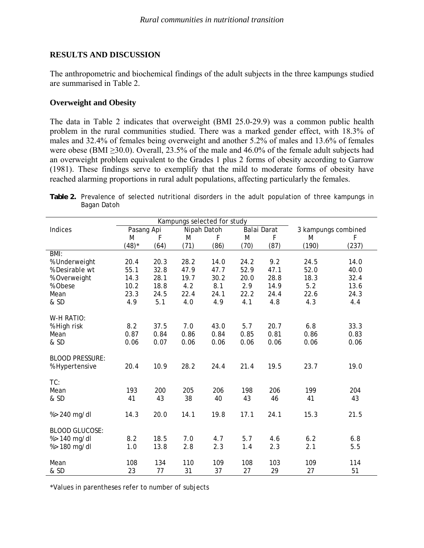# **RESULTS AND DISCUSSION**

The anthropometric and biochemical findings of the adult subjects in the three kampungs studied are summarised in Table 2.

# **Overweight and Obesity**

The data in Table 2 indicates that overweight (BMI 25.0-29.9) was a common public health problem in the rural communities studied. There was a marked gender effect, with 18.3% of males and 32.4% of females being overweight and another 5.2% of males and 13.6% of females were obese (BMI ≥30.0). Overall, 23.5% of the male and 46.0% of the female adult subjects had an overweight problem equivalent to the Grades 1 plus 2 forms of obesity according to Garrow (1981). These findings serve to exemplify that the mild to moderate forms of obesity have reached alarming proportions in rural adult populations, affecting particularly the females.

**Table 2.** Prevalence of selected nutritional disorders in the adult population of three kampungs in Bagan Datoh

| Kampungs selected for study |            |      |      |             |      |             |                     |       |
|-----------------------------|------------|------|------|-------------|------|-------------|---------------------|-------|
| Indices                     | Pasang Api |      |      | Nipah Datoh |      | Balai Darat | 3 kampungs combined |       |
|                             | M          | F    | M    | F           | M    | F           | M                   | F     |
|                             | $(48)*$    | (64) | (71) | (86)        | (70) | (87)        | (190)               | (237) |
| BM:                         |            |      |      |             |      |             |                     |       |
| % Underweight               | 20.4       | 20.3 | 28.2 | 14.0        | 24.2 | 9.2         | 24.5                | 14.0  |
| % Desirable wt              | 55.1       | 32.8 | 47.9 | 47.7        | 52.9 | 47.1        | 52.0                | 40.0  |
| % Overweight                | 14.3       | 28.1 | 19.7 | 30.2        | 20.0 | 28.8        | 18.3                | 32.4  |
| % Obese                     | 10.2       | 18.8 | 4.2  | 8.1         | 2.9  | 14.9        | 5.2                 | 13.6  |
| Mean                        | 23.3       | 24.5 | 22.4 | 24.1        | 22.2 | 24.4        | 22.6                | 24.3  |
| & SD                        | 4.9        | 5.1  | 4.0  | 4.9         | 4.1  | 4.8         | 4.3                 | 4.4   |
|                             |            |      |      |             |      |             |                     |       |
| W-H RATIO:                  |            |      |      |             |      |             |                     |       |
| % High risk                 | 8.2        | 37.5 | 7.0  | 43.0        | 5.7  | 20.7        | 6.8                 | 33.3  |
| Mean                        | 0.87       | 0.84 | 0.86 | 0.84        | 0.85 | 0.81        | 0.86                | 0.83  |
| & SD                        | 0.06       | 0.07 | 0.06 | 0.06        | 0.06 | 0.06        | 0.06                | 0.06  |
|                             |            |      |      |             |      |             |                     |       |
| <b>BLOOD PRESSURE:</b>      |            |      |      |             |      |             |                     |       |
| % Hypertensive              | 20.4       | 10.9 | 28.2 | 24.4        | 21.4 | 19.5        | 23.7                | 19.0  |
|                             |            |      |      |             |      |             |                     |       |
| TC:                         |            |      |      |             |      |             |                     |       |
| Mean                        | 193        | 200  | 205  | 206         | 198  | 206         | 199                 | 204   |
| & SD                        | 41         | 43   | 38   | 40          | 43   | 46          | 41                  | 43    |
|                             |            |      |      |             |      |             |                     |       |
| %> 240 mg/dl                | 14.3       | 20.0 | 14.1 | 19.8        | 17.1 | 24.1        | 15.3                | 21.5  |
| <b>BLOOD GLUCOSE:</b>       |            |      |      |             |      |             |                     |       |
| %> 140 mg/dl                | 8.2        | 18.5 | 7.0  | 4.7         | 5.7  | 4.6         | 6.2                 | 6.8   |
| %> 180 mg/dl                | 1.0        | 13.8 | 2.8  | 2.3         | 1.4  | 2.3         | 2.1                 | 5.5   |
|                             |            |      |      |             |      |             |                     |       |
| Mean                        | 108        | 134  | 110  | 109         | 108  | 103         | 109                 | 114   |
| & SD                        | 23         | 77   | 31   | 37          | 27   | 29          | 27                  | 51    |

\*Values in parentheses refer to number of subjects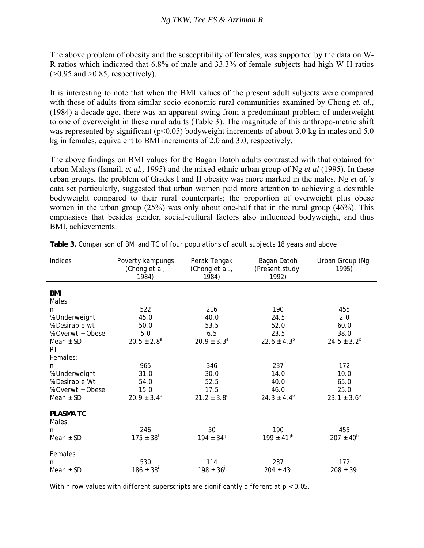The above problem of obesity and the susceptibility of females, was supported by the data on W-R ratios which indicated that 6.8% of male and 33.3% of female subjects had high W-H ratios  $(>0.95$  and  $>0.85$ , respectively).

It is interesting to note that when the BMI values of the present adult subjects were compared with those of adults from similar socio-economic rural communities examined by Chong *et. al.*, (1984) a decade ago, there was an apparent swing from a predominant problem of underweight to one of overweight in these rural adults (Table 3). The magnitude of this anthropo-metric shift was represented by significant ( $p<0.05$ ) bodyweight increments of about 3.0 kg in males and 5.0 kg in females, equivalent to BMI increments of 2.0 and 3.0, respectively.

The above findings on BMI values for the Bagan Datoh adults contrasted with that obtained for urban Malays (Ismail, *et al.,* 1995) and the mixed-ethnic urban group of Ng *et al* (1995). In these urban groups, the problem of Grades I and II obesity was more marked in the males. Ng *et al.'s*  data set particularly, suggested that urban women paid more attention to achieving a desirable bodyweight compared to their rural counterparts; the proportion of overweight plus obese women in the urban group (25%) was only about one-half that in the rural group (46%). This emphasises that besides gender, social-cultural factors also influenced bodyweight, and thus BMI, achievements.

| Indices          | Poverty kampungs<br>(Chong et al, | Perak Tengak<br>(Chong et al., | Bagan Datoh<br>(Present study: | Urban Group (Ng.<br>1995) |
|------------------|-----------------------------------|--------------------------------|--------------------------------|---------------------------|
|                  | 1984)                             | 1984)                          | 1992)                          |                           |
|                  |                                   |                                |                                |                           |
| BMI              |                                   |                                |                                |                           |
| Males:           |                                   |                                |                                |                           |
| n                | 522                               | 216                            | 190                            | 455                       |
| % Underweight    | 45.0                              | 40.0                           | 24.5                           | 2.0                       |
| % Desirable wt   | 50.0                              | 53.5                           | 52.0                           | 60.0                      |
| % Overwt + Obese | 5.0                               | 6.5                            | 23.5                           | 38.0                      |
| Mean $\pm$ SD    | $20.5 \pm 2.8^a$                  | $20.9 \pm 3.3^a$               | $22.6 \pm 4.3^{b}$             | $24.5 \pm 3.2^c$          |
| PT               |                                   |                                |                                |                           |
| Females:         |                                   |                                |                                |                           |
| n                | 965                               | 346                            | 237                            | 172                       |
| % Underweight    | 31.0                              | 30.0                           | 14.0                           | 10.0                      |
| % Desirable Wt   | 54.0                              | 52.5                           | 40.0                           | 65.0                      |
| % Overwt + Obese | 15.0                              | 17.5                           | 46.0                           | 25.0                      |
| Mean $\pm$ SD    | $20.9 \pm 3.4^d$                  | $21.2 \pm 3.8^d$               | $24.3 \pm 4.4^e$               | $23.1 \pm 3.6^e$          |
|                  |                                   |                                |                                |                           |
| <b>PLASMA TC</b> |                                   |                                |                                |                           |
| Males            |                                   |                                |                                |                           |
| n                | 246                               | 50                             | 190                            | 455                       |
| Mean $\pm$ SD    | $175 \pm 38^{f}$                  | $194 \pm 34^9$                 | $199 \pm 41$ <sup>gh</sup>     | $207 \pm 40^{h}$          |
|                  |                                   |                                |                                |                           |
| Females          |                                   |                                |                                |                           |
| n                | 530                               | 114                            | 237                            | 172                       |
| Mean $±$ SD      | $186 \pm 38$ <sup>i</sup>         | $198 \pm 36^{j}$               | $204 \pm 43^{j}$               | $208 \pm 39^{j}$          |
|                  |                                   |                                |                                |                           |

**Table 3.** Comparison of BMI and TC of four populations of adult subjects 18 years and above

Within row values with different superscripts are significantly different at  $p < 0.05$ .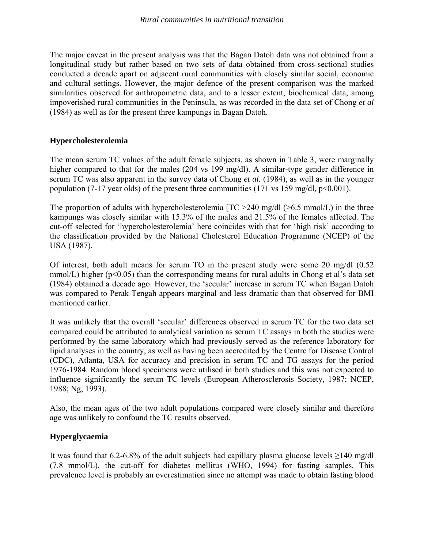The major caveat in the present analysis was that the Bagan Datoh data was not obtained from a longitudinal study but rather based on two sets of data obtained from cross-sectional studies conducted a decade apart on adjacent rural communities with closely similar social, economic and cultural settings. However, the major defence of the present comparison was the marked similarities observed for anthropometric data, and to a lesser extent, biochemical data, among impoverished rural communities in the Peninsula, as was recorded in the data set of Chong *et al*  (1984) as well as for the present three kampungs in Bagan Datoh.

# **Hypercholesterolemia**

The mean serum TC values of the adult female subjects, as shown in Table 3, were marginally higher compared to that for the males (204 vs 199 mg/dl). A similar-type gender difference in serum TC was also apparent in the survey data of Chong *et al.* (1984), as well as in the younger population (7-17 year olds) of the present three communities (171 vs 159 mg/dl,  $p<0.001$ ).

The proportion of adults with hypercholesterolemia  $[TC > 240 \text{ mg/d}]/[6.5 \text{ mmol/L})$  in the three kampungs was closely similar with 15.3% of the males and 21.5% of the females affected. The cut-off selected for 'hypercholesterolemia' here coincides with that for 'high risk' according to the classification provided by the National Cholesterol Education Programme (NCEP) of the USA (1987).

Of interest, both adult means for serum TO in the present study were some 20 mg/dl (0.52 mmol/L) higher ( $p<0.05$ ) than the corresponding means for rural adults in Chong et al's data set (1984) obtained a decade ago. However, the 'secular' increase in serum TC when Bagan Datoh was compared to Perak Tengah appears marginal and less dramatic than that observed for BMI mentioned earlier.

It was unlikely that the overall 'secular' differences observed in serum TC for the two data set compared could be attributed to analytical variation as serum TC assays in both the studies were performed by the same laboratory which had previously served as the reference laboratory for lipid analyses in the country, as well as having been accredited by the Centre for Disease Control (CDC), Atlanta, USA for accuracy and precision in serum TC and TG assays for the period 1976-1984. Random blood specimens were utilised in both studies and this was not expected to influence significantly the serum TC levels (European Atherosclerosis Society, 1987; NCEP, 1988; Ng, 1993).

Also, the mean ages of the two adult populations compared were closely similar and therefore age was unlikely to confound the TC results observed.

# **Hyperglycaemia**

It was found that 6.2-6.8% of the adult subjects had capillary plasma glucose levels  $\geq$ 140 mg/dl (7.8 mmol/L), the cut-off for diabetes mellitus (WHO, 1994) for fasting samples. This prevalence level is probably an overestimation since no attempt was made to obtain fasting blood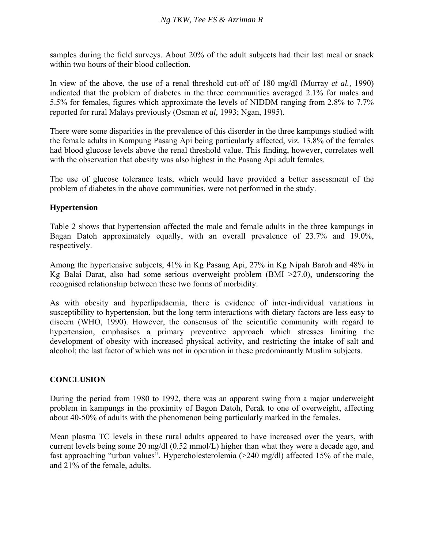samples during the field surveys. About 20% of the adult subjects had their last meal or snack within two hours of their blood collection.

In view of the above, the use of a renal threshold cut-off of 180 mg/dl (Murray *et al.,* 1990) indicated that the problem of diabetes in the three communities averaged 2.1% for males and 5.5% for females, figures which approximate the levels of NIDDM ranging from 2.8% to 7.7% reported for rural Malays previously (Osman *et al,* 1993; Ngan, 1995).

There were some disparities in the prevalence of this disorder in the three kampungs studied with the female adults in Kampung Pasang Api being particularly affected, viz. 13.8% of the females had blood glucose levels above the renal threshold value. This finding, however, correlates well with the observation that obesity was also highest in the Pasang Api adult females.

The use of glucose tolerance tests, which would have provided a better assessment of the problem of diabetes in the above communities, were not performed in the study.

# **Hypertension**

Table 2 shows that hypertension affected the male and female adults in the three kampungs in Bagan Datoh approximately equally, with an overall prevalence of 23.7% and 19.0%, respectively.

Among the hypertensive subjects, 41% in Kg Pasang Api, 27% in Kg Nipah Baroh and 48% in Kg Balai Darat, also had some serious overweight problem (BMI >27.0), underscoring the recognised relationship between these two forms of morbidity.

As with obesity and hyperlipidaemia, there is evidence of inter-individual variations in susceptibility to hypertension, but the long term interactions with dietary factors are less easy to discern (WHO, 1990). However, the consensus of the scientific community with regard to hypertension, emphasises a primary preventive approach which stresses limiting the development of obesity with increased physical activity, and restricting the intake of salt and alcohol; the last factor of which was not in operation in these predominantly Muslim subjects.

# **CONCLUSION**

During the period from 1980 to 1992, there was an apparent swing from a major underweight problem in kampungs in the proximity of Bagon Datoh, Perak to one of overweight, affecting about 40-50% of adults with the phenomenon being particularly marked in the females.

Mean plasma TC levels in these rural adults appeared to have increased over the years, with current levels being some 20 mg/dl (0.52 mmol/L) higher than what they were a decade ago, and fast approaching "urban values". Hypercholesterolemia (>240 mg/dl) affected 15% of the male, and 21% of the female, adults.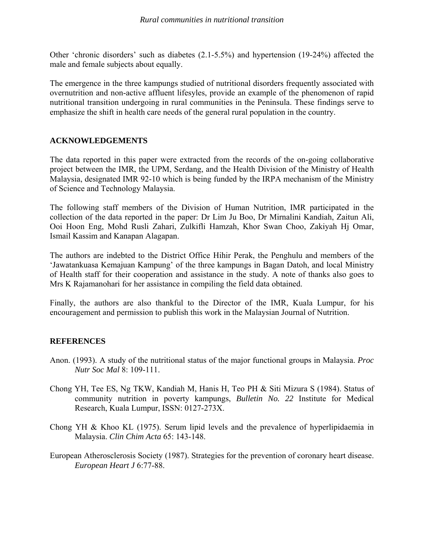Other 'chronic disorders' such as diabetes (2.1-5.5%) and hypertension (19-24%) affected the male and female subjects about equally.

The emergence in the three kampungs studied of nutritional disorders frequently associated with overnutrition and non-active affluent lifesyles, provide an example of the phenomenon of rapid nutritional transition undergoing in rural communities in the Peninsula. These findings serve to emphasize the shift in health care needs of the general rural population in the country.

# **ACKNOWLEDGEMENTS**

The data reported in this paper were extracted from the records of the on-going collaborative project between the IMR, the UPM, Serdang, and the Health Division of the Ministry of Health Malaysia, designated IMR 92-10 which is being funded by the IRPA mechanism of the Ministry of Science and Technology Malaysia.

The following staff members of the Division of Human Nutrition, IMR participated in the collection of the data reported in the paper: Dr Lim Ju Boo, Dr Mirnalini Kandiah, Zaitun Ali, Ooi Hoon Eng, Mohd Rusli Zahari, Zulkifli Hamzah, Khor Swan Choo, Zakiyah Hj Omar, Ismail Kassim and Kanapan Alagapan.

The authors are indebted to the District Office Hihir Perak, the Penghulu and members of the 'Jawatankuasa Kemajuan Kampung' of the three kampungs in Bagan Datoh, and local Ministry of Health staff for their cooperation and assistance in the study. A note of thanks also goes to Mrs K Rajamanohari for her assistance in compiling the field data obtained.

Finally, the authors are also thankful to the Director of the IMR, Kuala Lumpur, for his encouragement and permission to publish this work in the Malaysian Journal of Nutrition.

### **REFERENCES**

- Anon. (1993). A study of the nutritional status of the major functional groups in Malaysia. *Proc Nutr Soc Mal* 8: 109-111.
- Chong YH, Tee ES, Ng TKW, Kandiah M, Hanis H, Teo PH & Siti Mizura S (1984). Status of community nutrition in poverty kampungs, *Bulletin No. 22* Institute for Medical Research, Kuala Lumpur, ISSN: 0127-273X.
- Chong YH & Khoo KL (1975). Serum lipid levels and the prevalence of hyperlipidaemia in Malaysia. *Clin Chim Acta* 65: 143-148.
- European Atherosclerosis Society (1987). Strategies for the prevention of coronary heart disease. *European Heart J* 6:77-88.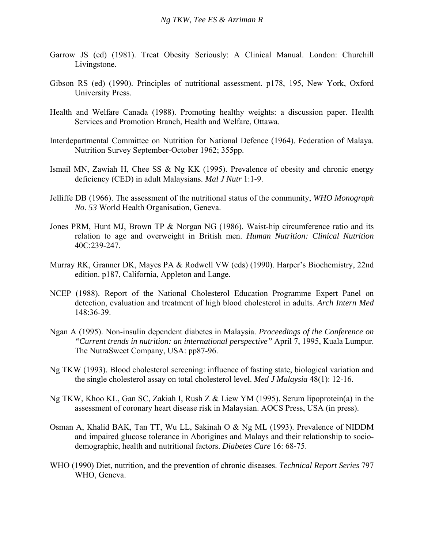- Garrow JS (ed) (1981). Treat Obesity Seriously: A Clinical Manual. London: Churchill Livingstone.
- Gibson RS (ed) (1990). Principles of nutritional assessment. p178, 195, New York, Oxford University Press.
- Health and Welfare Canada (1988). Promoting healthy weights: a discussion paper. Health Services and Promotion Branch, Health and Welfare, Ottawa.
- Interdepartmental Committee on Nutrition for National Defence (1964). Federation of Malaya. Nutrition Survey September-October 1962; 355pp.
- Ismail MN, Zawiah H, Chee SS & Ng KK (1995). Prevalence of obesity and chronic energy deficiency (CED) in adult Malaysians. *Mal J Nutr* 1:1-9.
- Jelliffe DB (1966). The assessment of the nutritional status of the community, *WHO Monograph No. 53* World Health Organisation, Geneva.
- Jones PRM, Hunt MJ, Brown TP & Norgan NG (1986). Waist-hip circumference ratio and its relation to age and overweight in British men. *Human Nutrition: Clinical Nutrition*  40C:239-247.
- Murray RK, Granner DK, Mayes PA & Rodwell VW (eds) (1990). Harper's Biochemistry, 22nd edition. p187, California, Appleton and Lange.
- NCEP (1988). Report of the National Cholesterol Education Programme Expert Panel on detection, evaluation and treatment of high blood cholesterol in adults. *Arch Intern Med*  148:36-39.
- Ngan A (1995). Non-insulin dependent diabetes in Malaysia. *Proceedings of the Conference on "Current trends in nutrition: an international perspective"* April 7, 1995, Kuala Lumpur. The NutraSweet Company, USA: pp87-96.
- Ng TKW (1993). Blood cholesterol screening: influence of fasting state, biological variation and the single cholesterol assay on total cholesterol level. *Med J Malaysia* 48(1): 12-16.
- Ng TKW, Khoo KL, Gan SC, Zakiah I, Rush Z & Liew YM (1995). Serum lipoprotein(a) in the assessment of coronary heart disease risk in Malaysian. AOCS Press, USA (in press).
- Osman A, Khalid BAK, Tan TT, Wu LL, Sakinah O & Ng ML (1993). Prevalence of NIDDM and impaired glucose tolerance in Aborigines and Malays and their relationship to sociodemographic, health and nutritional factors. *Diabetes Care* 16: 68-75.
- WHO (1990) Diet, nutrition, and the prevention of chronic diseases. *Technical Report Series* 797 WHO, Geneva.